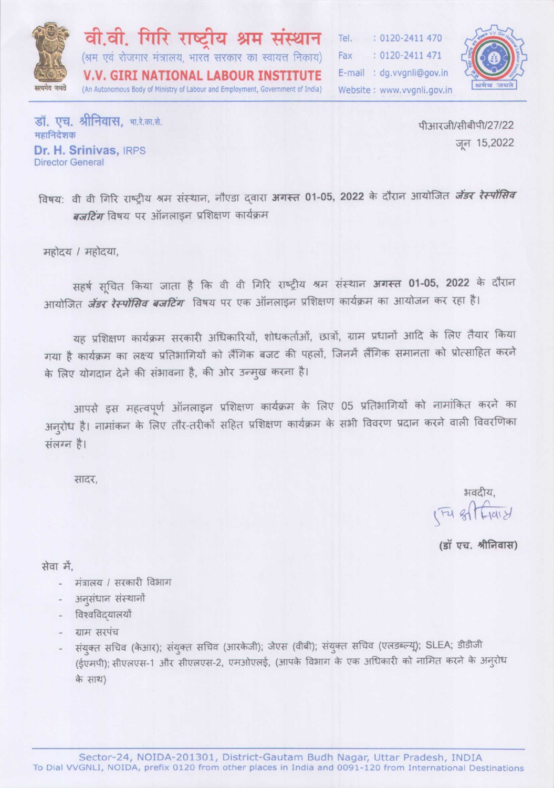

वी.वी. गिरि राष्टीय श्रम संस्थान (श्रम एवं रोजगार मंत्रालय, भारत सरकार का स्वायत्त निकाय) **V.V. GIRI NATIONAL LABOUR INSTITUTE** (An Autonomous Body of Ministry of Labour and Employment, Government of India)

Tel. : 0120-2411 470 : 0120-2411 471 Fax E-mail : dg.vvgnli@gov.in Website: www.vvgnli.gov.in



डॉ. एच. श्रीनिवास, भा.रे.का.से. महानिदेशक Dr. H. Srinivas, IRPS **Director General** 

पीआरजी/सीबीपी/27/22 जन 15,2022

विषय: वी वी गिरि राष्ट्रीय श्रम संस्थान, नौएडा दवारा अगस्त 01-05, 2022 के दौरान आयोजित *जेंडर रेस्पोंसिव बजटिंग* विषय पर ऑनलाइन प्रशिक्षण कार्यक्रम

महोदय / महोदया,

सहर्ष सूचित किया जाता है कि वी वी गिरि राष्ट्रीय श्रम संस्थान अगस्त 01-05, 2022 के दौरान आयोजित *जेंडर रेस्पोंसिव बजटिंग* विषय पर एक ऑनलाइन प्रशिक्षण कार्यक्रम का आयोजन कर रहा है।

यह प्रशिक्षण कार्यक्रम सरकारी अधिकारियों, शोधकर्ताओं, छात्रों, ग्राम प्रधानों आदि के लिए तैयार किया गया है कार्यक्रम का लक्ष्य प्रतिभागियों को लैंगिक बजट की पहलों, जिनमें लैंगिक समानता को प्रोत्साहित करने के लिए योगदान देने की संभावना है, की ओर उन्मुख करना है।

आपसे इस महत्वपूर्ण ऑनलाइन प्रशिक्षण कार्यक्रम के लिए 05 प्रतिभागियों को नामांकित करने का अनुरोध है। नामांकन के लिए तौर-तरीकों सहित प्रशिक्षण कार्यक्रम के सभी विवरण प्रदान करने वाली विवरणिका संलग्न है।

सादर.

भवदीय.  $174.817418$ 

(डॉ एच. श्रीनिवास)

सेवा में.

- मंत्रालय / सरकारी विभाग
- अनुसंधान संस्थानों
- विश्वविदयालयों
- ग्राम सरपंच
- संयुक्त सचिव (केआर); संयुक्त सचिव (आरकेजी); जेएस (वीबी); संयुक्त सचिव (एलडब्ल्यू); SLEA; डीडीजी (ईएमपी); सीएलएस-1 और सीएलएस-2, एमओएलई, (आपके विभाग के एक अधिकारी को नामित करने के अनुरोध के साथ)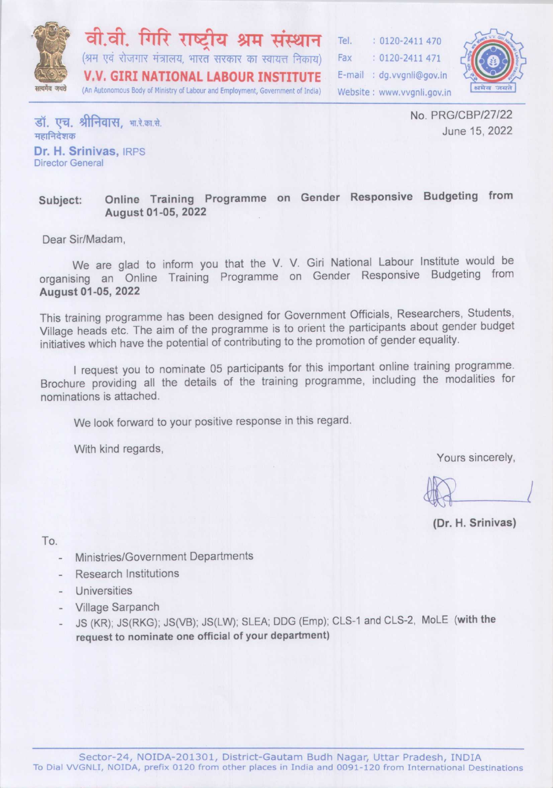

वी.वी. गिरि राष्टीय श्रम संस्थान (श्रम एवं रोजगार मंत्रालय, भारत सरकार का स्वायत्त निकाय) **V.V. GIRI NATIONAL LABOUR INSTITUTE** (An Autonomous Body of Ministry of Labour and Employment, Government of India)

Tel.  $: 0120 - 2411470$ Fax  $: 0120 - 2411471$ E-mail: dg.vvgnli@gov.in Website: www.yvanli.gov.in



डॉ. एच. श्रीनिवास. भा.रे.का.से. महानिदेशक Dr. H. Srinivas, IRPS Director General

No. PRG/CBP/27/22 June 15, 2022

#### Online Training Programme on Gender Responsive Budgeting from Subject: August 01-05, 2022

Dear Sir/Madam.

We are glad to inform you that the V. V. Giri National Labour Institute would be organising an Online Training Programme on Gender Responsive Budgeting from August 01-05, 2022

This training programme has been designed for Government Officials, Researchers, Students, Village heads etc. The aim of the programme is to orient the participants about gender budget initiatives which have the potential of contributing to the promotion of gender equality.

I request you to nominate 05 participants for this important online training programme. Brochure providing all the details of the training programme, including the modalities for nominations is attached.

We look forward to your positive response in this regard.

With kind regards,

Yours sincerely,

(Dr. H. Srinivas)

To.

- Ministries/Government Departments
- **Research Institutions**
- Universities
- Village Sarpanch
- JS (KR); JS(RKG); JS(VB); JS(LW); SLEA; DDG (Emp); CLS-1 and CLS-2, MoLE (with the request to nominate one official of your department)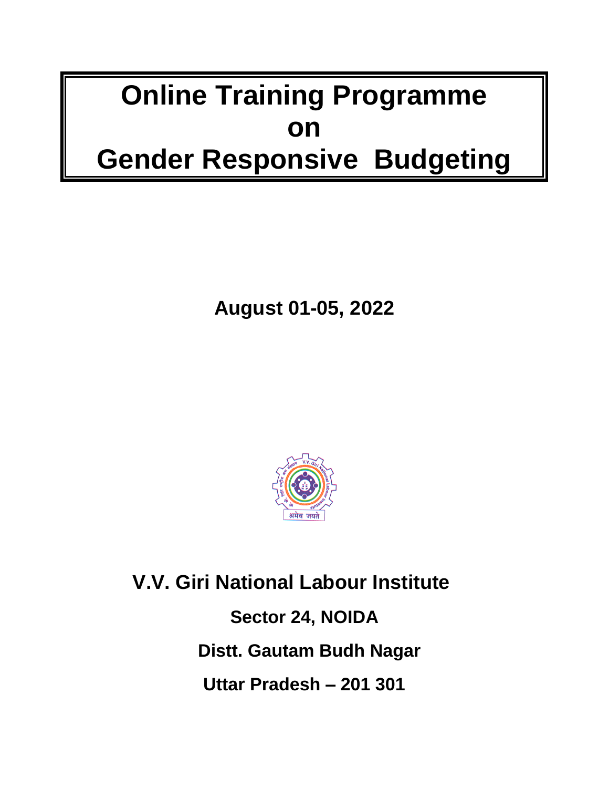# **Online Training Programme on Gender Responsive Budgeting**

**August 01-05, 2022**



 **V.V. Giri National Labour Institute Sector 24, NOIDA Distt. Gautam Budh Nagar Uttar Pradesh – 201 301**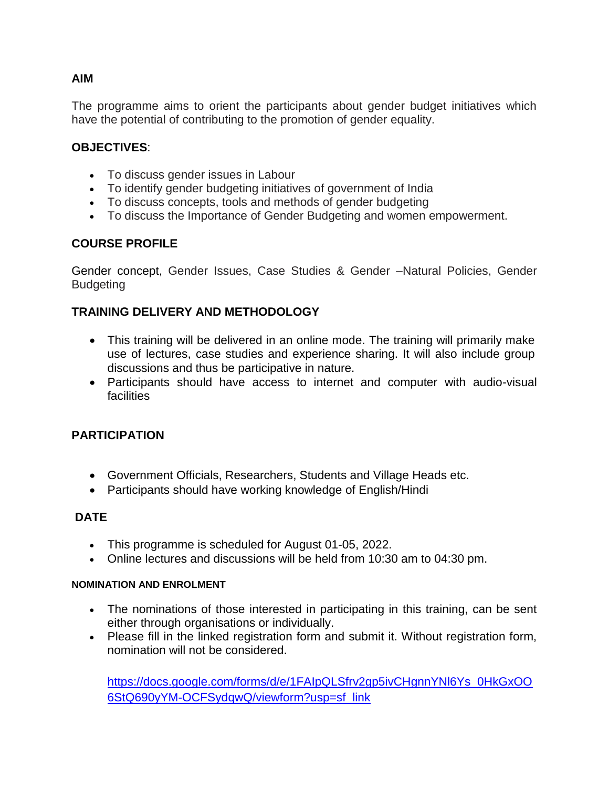# **AIM**

The programme aims to orient the participants about gender budget initiatives which have the potential of contributing to the promotion of gender equality.

### **OBJECTIVES**:

- To discuss gender issues in Labour
- To identify gender budgeting initiatives of government of India
- To discuss concepts, tools and methods of gender budgeting
- To discuss the Importance of Gender Budgeting and women empowerment.

# **COURSE PROFILE**

Gender concept, Gender Issues, Case Studies & Gender –Natural Policies, Gender **Budgeting** 

# **TRAINING DELIVERY AND METHODOLOGY**

- This training will be delivered in an online mode. The training will primarily make use of lectures, case studies and experience sharing. It will also include group discussions and thus be participative in nature.
- Participants should have access to internet and computer with audio-visual **facilities**

#### **PARTICIPATION**

- Government Officials, Researchers, Students and Village Heads etc.
- Participants should have working knowledge of English/Hindi

#### **DATE**

- This programme is scheduled for August 01-05, 2022.
- Online lectures and discussions will be held from 10:30 am to 04:30 pm.

#### **NOMINATION AND ENROLMENT**

- The nominations of those interested in participating in this training, can be sent either through organisations or individually.
- Please fill in the linked registration form and submit it. Without registration form, nomination will not be considered.

[https://docs.google.com/forms/d/e/1FAIpQLSfrv2gp5ivCHgnnYNl6Ys\\_0HkGxOO](https://docs.google.com/forms/d/e/1FAIpQLSfrv2gp5ivCHgnnYNl6Ys_0HkGxOO6StQ690yYM-OCFSydqwQ/viewform?usp=sf_link) [6StQ690yYM-OCFSydqwQ/viewform?usp=sf\\_link](https://docs.google.com/forms/d/e/1FAIpQLSfrv2gp5ivCHgnnYNl6Ys_0HkGxOO6StQ690yYM-OCFSydqwQ/viewform?usp=sf_link)